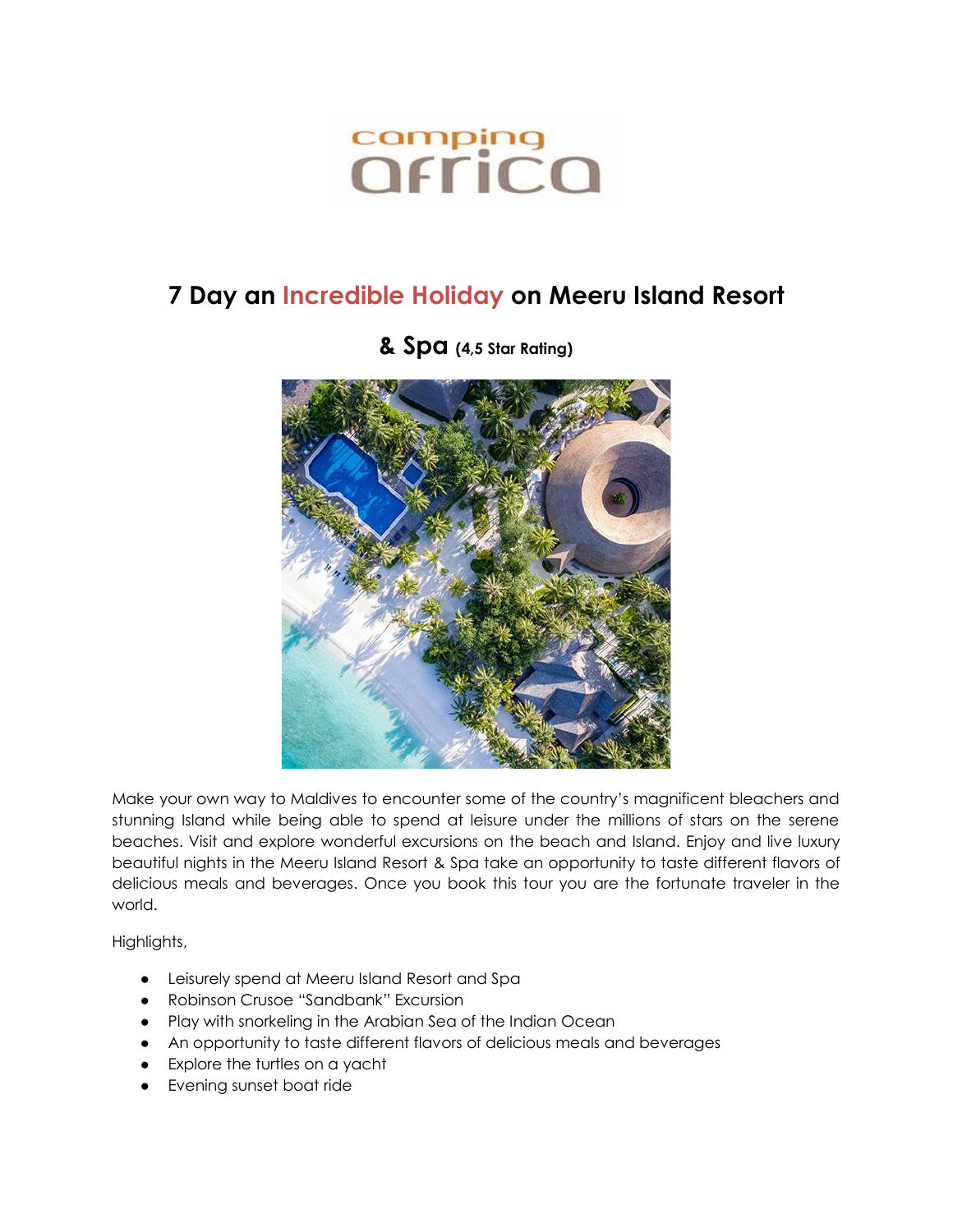# comping<br>*<u>Offica</u>*

### **7 Day an Incredible Holiday on Meeru Island Resort**



#### **& Spa (4,5 Star Rating)**

Make your own way to Maldives to encounter some of the country's magnificent bleachers and stunning Island while being able to spend at leisure under the millions of stars on the serene beaches. Visit and explore wonderful excursions on the beach and Island. Enjoy and live luxury beautiful nights in the Meeru Island Resort & Spa take an opportunity to taste different flavors of delicious meals and beverages. Once you book this tour you are the fortunate traveler in the world.

Highlights,

- Leisurely spend at Meeru Island Resort and Spa
- Robinson Crusoe "Sandbank" Excursion
- Play with snorkeling in the Arabian Sea of the Indian Ocean
- An opportunity to taste different flavors of delicious meals and beverages
- Explore the turtles on a yacht
- Evening sunset boat ride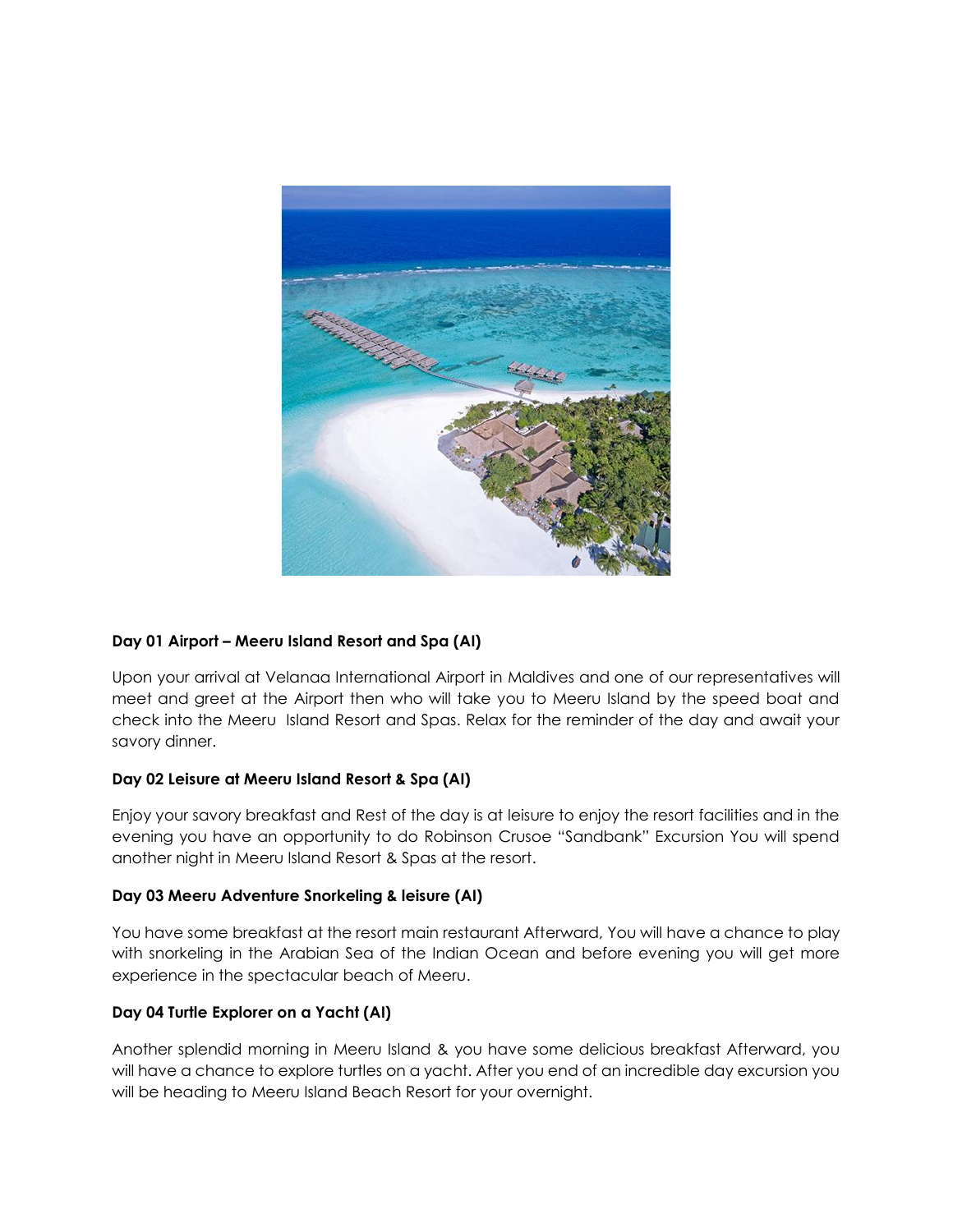

#### **Day 01 Airport – Meeru Island Resort and Spa (AI)**

Upon your arrival at Velanaa International Airport in Maldives and one of our representatives will meet and greet at the Airport then who will take you to Meeru Island by the speed boat and check into the Meeru Island Resort and Spas. Relax for the reminder of the day and await your savory dinner.

#### **Day 02 Leisure at Meeru Island Resort & Spa (AI)**

Enjoy your savory breakfast and Rest of the day is at leisure to enjoy the resort facilities and in the evening you have an opportunity to do Robinson Crusoe "Sandbank" Excursion You will spend another night in Meeru Island Resort & Spas at the resort.

#### **Day 03 Meeru Adventure Snorkeling & leisure (AI)**

You have some breakfast at the resort main restaurant Afterward, You will have a chance to play with snorkeling in the Arabian Sea of the Indian Ocean and before evening you will get more experience in the spectacular beach of Meeru.

#### **Day 04 Turtle Explorer on a Yacht (AI)**

Another splendid morning in Meeru Island & you have some delicious breakfast Afterward, you will have a chance to explore turtles on a yacht. After you end of an incredible day excursion you will be heading to Meeru Island Beach Resort for your overnight.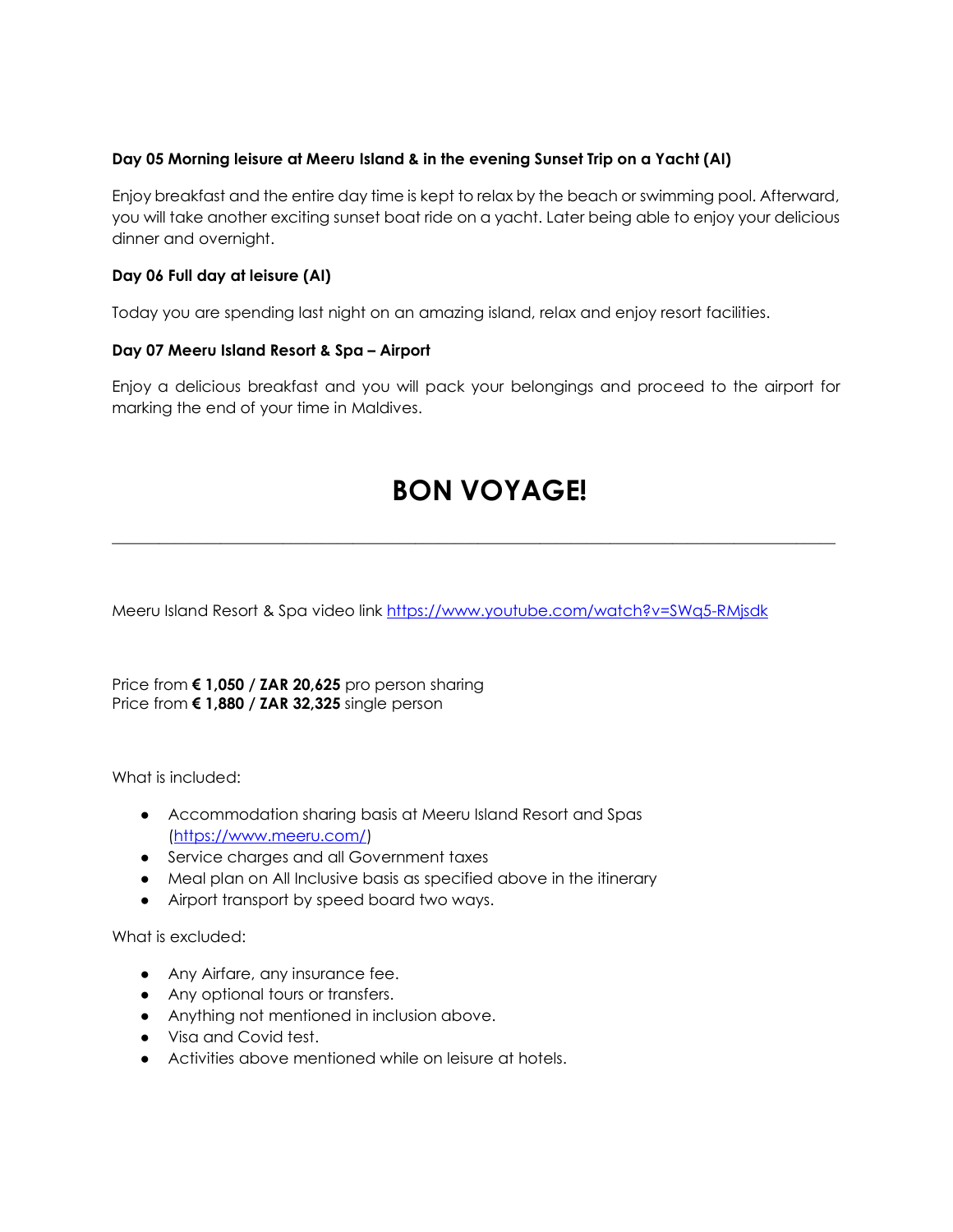#### **Day 05 Morning leisure at Meeru Island & in the evening Sunset Trip on a Yacht (AI)**

Enjoy breakfast and the entire day time is kept to relax by the beach or swimming pool. Afterward, you will take another exciting sunset boat ride on a yacht. Later being able to enjoy your delicious dinner and overnight.

#### **Day 06 Full day at leisure (AI)**

Today you are spending last night on an amazing island, relax and enjoy resort facilities.

#### **Day 07 Meeru Island Resort & Spa – Airport**

Enjoy a delicious breakfast and you will pack your belongings and proceed to the airport for marking the end of your time in Maldives.

## **BON VOYAGE!**

\_\_\_\_\_\_\_\_\_\_\_\_\_\_\_\_\_\_\_\_\_\_\_\_\_\_\_\_\_\_\_\_\_\_\_\_\_\_\_\_\_\_\_\_\_\_\_\_\_\_\_\_\_\_\_\_\_\_\_\_\_\_\_\_\_\_\_\_\_\_\_\_\_\_\_\_\_\_\_\_\_\_\_\_\_\_\_\_\_\_\_\_\_

Meeru Island Resort & Spa video link<https://www.youtube.com/watch?v=SWq5-RMjsdk>

Price from **€ 1,050 / ZAR 20,625** pro person sharing Price from **€ 1,880 / ZAR 32,325** single person

What is included:

- Accommodation sharing basis at Meeru Island Resort and Spas [\(https://www.meeru.com/\)](https://www.meeru.com/)
- Service charges and all Government taxes
- Meal plan on All Inclusive basis as specified above in the itinerary
- Airport transport by speed board two ways.

What is excluded:

- Any Airfare, any insurance fee.
- Any optional tours or transfers.
- Anything not mentioned in inclusion above.
- Visa and Covid test.
- Activities above mentioned while on leisure at hotels.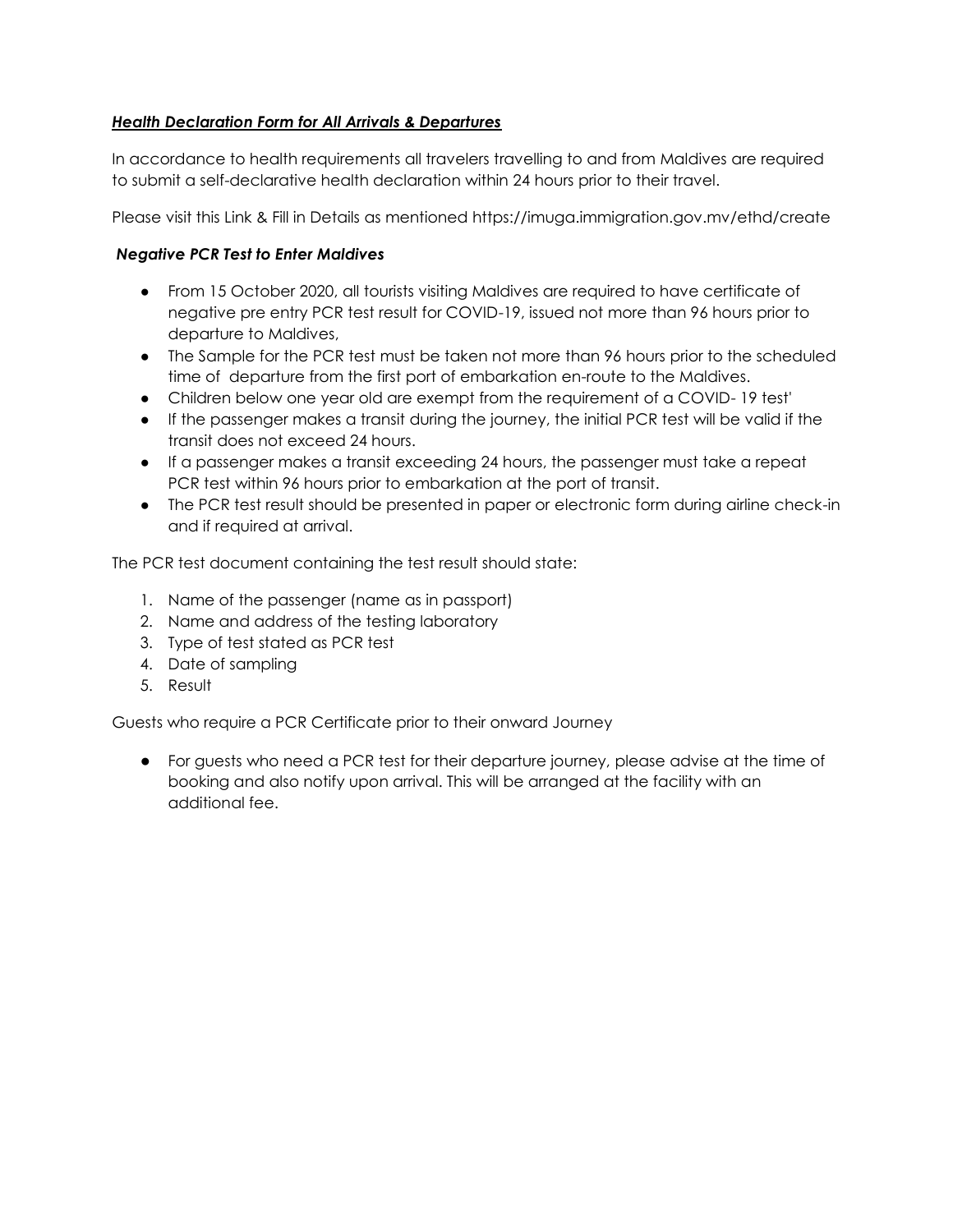#### *Health Declaration Form for All Arrivals & Departures*

In accordance to health requirements all travelers travelling to and from Maldives are required to submit a self-declarative health declaration within 24 hours prior to their travel.

Please visit this Link & Fill in Details as mentioned https://imuga.immigration.gov.mv/ethd/create

#### *Negative PCR Test to Enter Maldives*

- From 15 October 2020, all tourists visiting Maldives are required to have certificate of negative pre entry PCR test result for COVID-19, issued not more than 96 hours prior to departure to Maldives,
- The Sample for the PCR test must be taken not more than 96 hours prior to the scheduled time of departure from the first port of embarkation en-route to the Maldives.
- Children below one year old are exempt from the requirement of a COVID- 19 test'
- If the passenger makes a transit during the journey, the initial PCR test will be valid if the transit does not exceed 24 hours.
- If a passenger makes a transit exceeding 24 hours, the passenger must take a repeat PCR test within 96 hours prior to embarkation at the port of transit.
- The PCR test result should be presented in paper or electronic form during airline check-in and if required at arrival.

The PCR test document containing the test result should state:

- 1. Name of the passenger (name as in passport)
- 2. Name and address of the testing laboratory
- 3. Type of test stated as PCR test
- 4. Date of sampling
- 5. Result

Guests who require a PCR Certificate prior to their onward Journey

● For guests who need a PCR test for their departure journey, please advise at the time of booking and also notify upon arrival. This will be arranged at the facility with an additional fee.